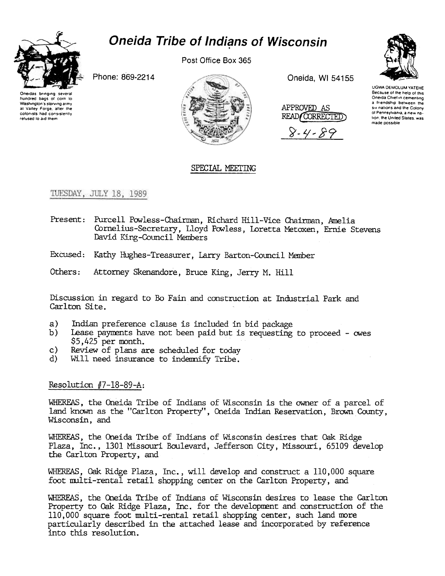

# **Oneida Tribe of Indians of Wisconsin**

Post Office Box 365

Phone: 869-2214





Oneida, WI 54155

APPROVED AS READ/CORRECTED

8-4-85



UGWA DEMOLUM YATEHE Because of the help of this Oneida Chief in cementing a Iriendship between the six nations and the Colony ni Pennsvivania, a new nation, the United States, was made possible

### SPECIAL MEETING

### TUESDAY, JULY 18, 1989

- Present: Purcell Powless-Chairman, Richard Hill-Vice Chairman, Amelia Cornelius-Secretary, Lloyd Powless, Loretta Metoxen, Ernie Stevens David King-Council Members
- Excused: Kathy Hughes-Treasurer, Larry Barton-Council Member
- Others: Attorney Skenandore, Bruce King, Jerry M. Hill

Discussion in regard to Bo Fain and construction at Industrial Park and Carlton Site.

- $a)$ Indian preference clause is included in bid package
- $b)$ Lease payments have not been paid but is requesting to proceed - owes  $$5.425$  per month.
- Review of plans are scheduled for today c)
- Will need insurance to indemnify Tribe. d).

### Resolution  $#7-18-89-A$ :

WHEREAS, the Oneida Tribe of Indians of Wisconsin is the owner of a parcel of land known as the "Carlton Property", Oneida Indian Reservation, Brown County, Wisconsin, and

WHEREAS, the Oneida Tribe of Indians of Wisconsin desires that Oak Ridge Plaza, Inc., 1301 Missouri Boulevard, Jefferson City, Missouri, 65109 develop the Carlton Property, and

WHEREAS, Oak Ridge Plaza, Inc., will develop and construct a 110,000 square foot multi-rental retail shopping center on the Carlton Property, and

WHEREAS, the Oneida Tribe of Indians of Wisconsin desires to lease the Carlton Property to Oak Ridge Plaza, Inc. for the development and construction of the 110,000 square foot multi-rental retail shopping center, such land more particularly described in the attached lease and incorporated by reference into this resolution.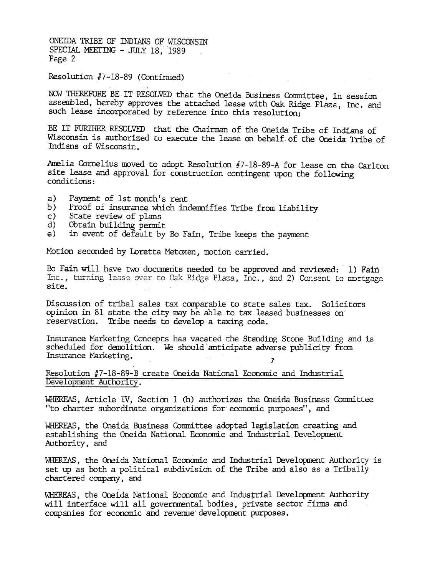ONEIDA TRIBE OF INDIANS OF WISCONSIN SPECIAL MEETING - JULY 18, 1989 Page 2

,

#### Resolution #7-18-89 (Continued)

NOW THEREFORE BE IT RESOLVED that the Oneida Business Conmittee, in sessio assembled, hereby approves the attached lease with Oak Ridge Plaza, Inc. and such lease incorporated by reference into this resolution;

BE IT FURTHER RESOLVED that the Chairman of the Oneida Tribe of Indians of Wisconsin is authorized to execute the lease on behalf of the Oneida Tribe of Indians of Wisconsin.

Amelia Cornelius moved to adopt Resolution #7-18-89-A for lease on the Carlton site lease and approval for construction contingent upon the following conditions:

- a) Payment of 1st month's rent
- b) Proof of insurance which indemnifies Tribe from liability
- c) State review of plans
- d) Obtain building permit
- e) in event of default by Eo Fain, Tribe keeps the payment

Motion seconded by Loretta Metoxen, motion carried.

Bo Fain will have two documents needed to be approved and reviewed: 1) Fain Inc., turning lease over to Oak Ridge Plaza, Inc., and 2) Consent to mortgage. site.

Discussion of tribal sales tax comparable to state sales tax. Solicitors opinion in 81 state the city may be able to tax leased businesses on reservation. Tribe needs to develop a taxing code.

Insurance Marketing Concepts bas vacated the Standing Stone Building and is scheduled for demolition. We should anticipate adverse publicity from Insurance Marketing.

Resolution  $#7-18-89-8$  create Oneida National Economic and Industrial Development Authority.

WHEREAS, Article IV, Section 1 (h) authorizes the Oneida Business Committee "to charter subordinate organizations for econanic purposes", and

WHEREAS, the Oneida Business Conmittee adopted legislation creating and establishing the Oneida National Economic and Industrial Development Authority, and

WHEREAS, the Oneida National Economic and Industrial Development Authority is set up as both a political subdivision of the Tribe and also as a Tribally chartered company, and

WHEREAS, the Oneida National Economic and Industrial Development Authority will interface will all governmental bodies, private sector firms and companies for economic and revenue development purposes.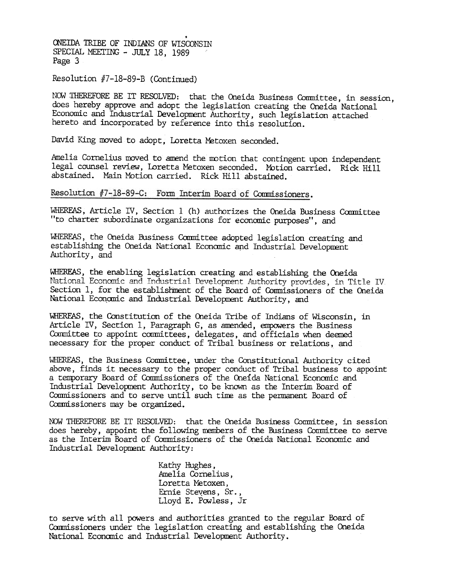ONEIDA TRIBE OF INDIANS OF WISCONSIN SPECIAL MEETING - JULY 18, 1989 Page 3

Resolution #7-18-89-B (Continued)

NOW THEREFORE BE IT RESOLVED: that the Oneida Business Committee, in session, does hereby approve and adopt the legislation creating the Oneida National Economic and Industrial Development Authority, such legislation attached hereto and incorporated by reference into this resolution.

David King moved to adopt, Loretta Metoxen seconded.

Amelia Cornelius moved to amend the motion that contingent upon independent legal counsel review, Loretta Metoxen seconded. Motion carried. Rick Hill abstained. Main Motion carried. Rick Hill abstained.

Resolution #7-18-89-C: Form Interim Board of Commissioners.

WHEREAS, Article IV, Section 1 (h) authorizes the Oneida Business Committee "to charter subordinate organizations for economic purposes", and

WHEREAS, the Oneida Business Committee adopted legislation creating and establishing the Oneida National Economic and Industrial Development Authority, and

WHEREAS, the enabling legislation creating and establishing the Oneida National Economic and Industrial Development Authority provides, in Title IV. Section 1, for the establishment of the Board of Commissioners of the Oneida National Economic and Industrial Development Authority, and

WHEREAS, the Constitution of the Oneida Tribe of Indians of Wisconsin, in Article IV, Section 1, Paragraph G, as amended, empowers the Business Committee to appoint committees, delegates, and officials when deemed necessary for the proper conduct of Tribal business or relations, and

WHEREAS, the Business Committee, under the Constitutional Authority cited above, finds it necessary to the proper conduct of Tribal business to appoint a temporary Board of Commissioners of the Oneida National Economic and Industrial Development Authority, to be known as the Interim Board of Commissioners and to serve until such time as the permanent Board of Commissioners may be organized.

NOW THEREFORE BE IT RESOLVED: that the Oneida Business Committee, in session does hereby, appoint the following members of the Business Committee to serve as the Interim Board of Commissioners of the Oneida National Economic and Industrial Development Authority:

> Kathy Hughes, Amelia Cornelius, Loretta Metoxen, Ernie Stevens, Sr. Lloyd E. Powless, Jr

to serve with all powers and authorities granted to the regular Board of Commissioners under the legislation creating and establishing the Oneida National Economic and Industrial Development Authority.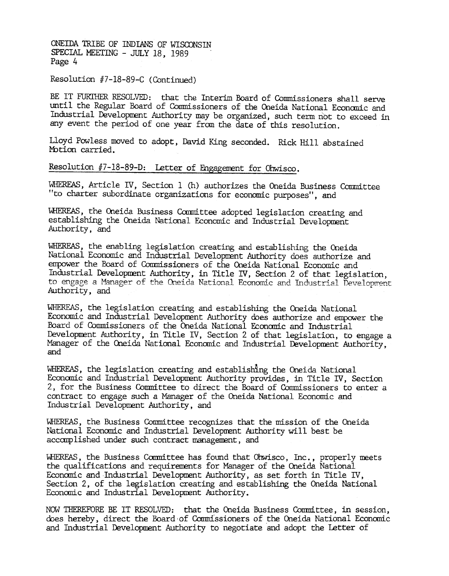ONEIDA TRIBE OF INDIANS OF WISCONSIN SPECIAL MEETING - JULY 18, 1989 Page 4

## Resolution #7-18-89-C (Continued)

BE IT FURTHER RESOLVED: that the Interim Board of Commissioners shall serve until the Regular Board of Commissioners of the Oneida National Economic and Industrial Development Authority may be organized, such term not to exceed in any event the period of one year from the date of this resolution.

Lloyd Powless moved to adopt, David King seconded. Rick Hill abstaine Motion carried.

Resolution #7-18-89-D: Letter of Engagement for Ohwisco.

WHEREAS, Article IV, Section 1 (h) authorizes the Oneida Business Committee "to charter subordinate organizations for economic purposes", and

WHEREAS, the Oneida Business Committee adopted legislacion creating and establishing the Oneida National Economic and Industrial Development Authority, and

WllEREAS, the enabling legislation creating and establishing the Cneida National Economic and Industrial Development Authority does authorize and empower the Board of Commissioners of the Oneida National Economic and Industrial Development Authority, in Title IV, Section 2 of that legislation, to engage a Manager of the Oneida National Economic and Industrial Development Authority, and

WHEREAS, the legislation creating and establishing the Oneida National Economic and Industrial Development Authority does authorize and empower the fuard of Comnissioners of the Oneida National Econanic and Industrial Development Authority, in Title IV, Section 2 of that legislation, to engage a Manager of the Oneida National Economic and Industrial Development Authority, and

WHEREAS, the legislation creating and establishing the Oneida National Economic and Industrial Development Authority provides, in Title IV, Section 2, for the Business Committee to direct the Board of Commissioners to enter a contract to engage such a Manager of the Oneida National Economic and Industrial Development Authority, and

WHEREAS, the Business Committee recognizes that the mission of the Oneida National Economic and Industrial Development Authority will best be accomplished under such contract management, and

WHEREAS, the Business Committee has found that Ohwisco, Inc., properly meets the qualifications and requirements for Manager of the Oneida National Econanic and Industrial Development Authority, as set forth in Title IV, Section 2, of the legislation creating and establishing the Oneida National Economic and Industrial Development Authority.

NOW THEREFORE BE IT RESOLVED: that the Oneida Business Committee, in session, does hereby, direct the Board of Commissioners of the Oneida National Economic and Industrial Development Authority to negotiate and adopt the Letter of